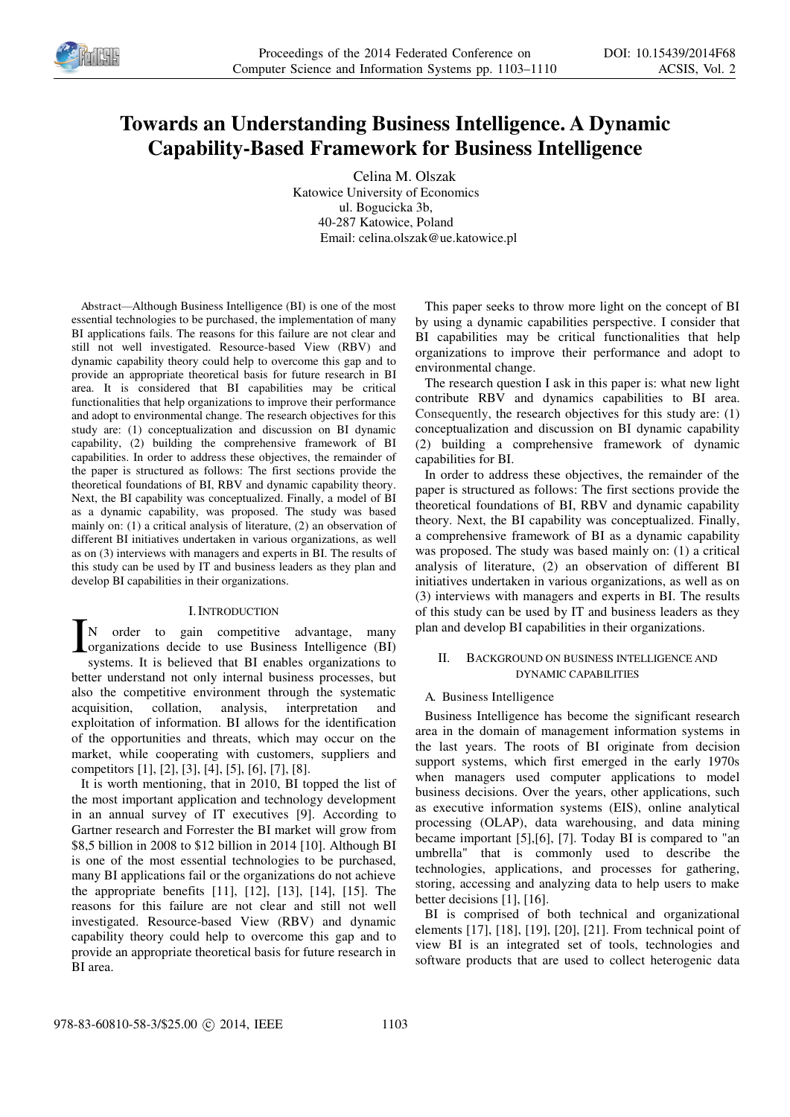

# **Towards an Understanding Business Intelligence. A Dynamic Capability-Based Framework for Business Intelligence**

Celina M. Olszak Katowice University of Economics ul. Bogucicka 3b, 40-287 Katowice, Poland Email: celina.olszak@ue.katowice.pl

Abstract*—*Although Business Intelligence (BI) is one of the most essential technologies to be purchased, the implementation of many BI applications fails. The reasons for this failure are not clear and still not well investigated. Resource-based View (RBV) and dynamic capability theory could help to overcome this gap and to provide an appropriate theoretical basis for future research in BI area. It is considered that BI capabilities may be critical functionalities that help organizations to improve their performance and adopt to environmental change. The research objectives for this study are: (1) conceptualization and discussion on BI dynamic capability, (2) building the comprehensive framework of BI capabilities. In order to address these objectives, the remainder of the paper is structured as follows: The first sections provide the theoretical foundations of BI, RBV and dynamic capability theory. Next, the BI capability was conceptualized. Finally, a model of BI as a dynamic capability, was proposed. The study was based mainly on: (1) a critical analysis of literature, (2) an observation of different BI initiatives undertaken in various organizations, as well as on (3) interviews with managers and experts in BI. The results of this study can be used by IT and business leaders as they plan and develop BI capabilities in their organizations.

#### I.INTRODUCTION

N order to gain competitive advantage, many organizations decide to use Business Intelligence (BI) systems. It is believed that BI enables organizations to better understand not only internal business processes, but also the competitive environment through the systematic acquisition, collation, analysis, interpretation and exploitation of information. BI allows for the identification of the opportunities and threats, which may occur on the market, while cooperating with customers, suppliers and competitors [1], [2], [3], [4], [5], [6], [7], [8]. I

It is worth mentioning, that in 2010, BI topped the list of the most important application and technology development in an annual survey of IT executives [9]. According to Gartner research and Forrester the BI market will grow from \$8,5 billion in 2008 to \$12 billion in 2014 [10]. Although BI is one of the most essential technologies to be purchased, many BI applications fail or the organizations do not achieve the appropriate benefits [11], [12], [13], [14], [15]. The reasons for this failure are not clear and still not well investigated. Resource-based View (RBV) and dynamic capability theory could help to overcome this gap and to provide an appropriate theoretical basis for future research in BI area.

This paper seeks to throw more light on the concept of BI by using a dynamic capabilities perspective. I consider that BI capabilities may be critical functionalities that help organizations to improve their performance and adopt to environmental change.

The research question I ask in this paper is: what new light contribute RBV and dynamics capabilities to BI area. Consequently, the research objectives for this study are: (1) conceptualization and discussion on BI dynamic capability (2) building a comprehensive framework of dynamic capabilities for BI.

In order to address these objectives, the remainder of the paper is structured as follows: The first sections provide the theoretical foundations of BI, RBV and dynamic capability theory. Next, the BI capability was conceptualized. Finally, a comprehensive framework of BI as a dynamic capability was proposed. The study was based mainly on: (1) a critical analysis of literature, (2) an observation of different BI initiatives undertaken in various organizations, as well as on (3) interviews with managers and experts in BI. The results of this study can be used by IT and business leaders as they plan and develop BI capabilities in their organizations.

# II. BACKGROUND ON BUSINESS INTELLIGENCE AND DYNAMIC CAPABILITIES

# A. Business Intelligence

Business Intelligence has become the significant research area in the domain of management information systems in the last years. The roots of BI originate from decision support systems, which first emerged in the early 1970s when managers used computer applications to model business decisions. Over the years, other applications, such as executive information systems (EIS), online analytical processing (OLAP), data warehousing, and data mining became important [5],[6], [7]. Today BI is compared to "an umbrella" that is commonly used to describe the technologies, applications, and processes for gathering, storing, accessing and analyzing data to help users to make better decisions [1], [16].

BI is comprised of both technical and organizational elements [17], [18], [19], [20], [21]. From technical point of view BI is an integrated set of tools, technologies and software products that are used to collect heterogenic data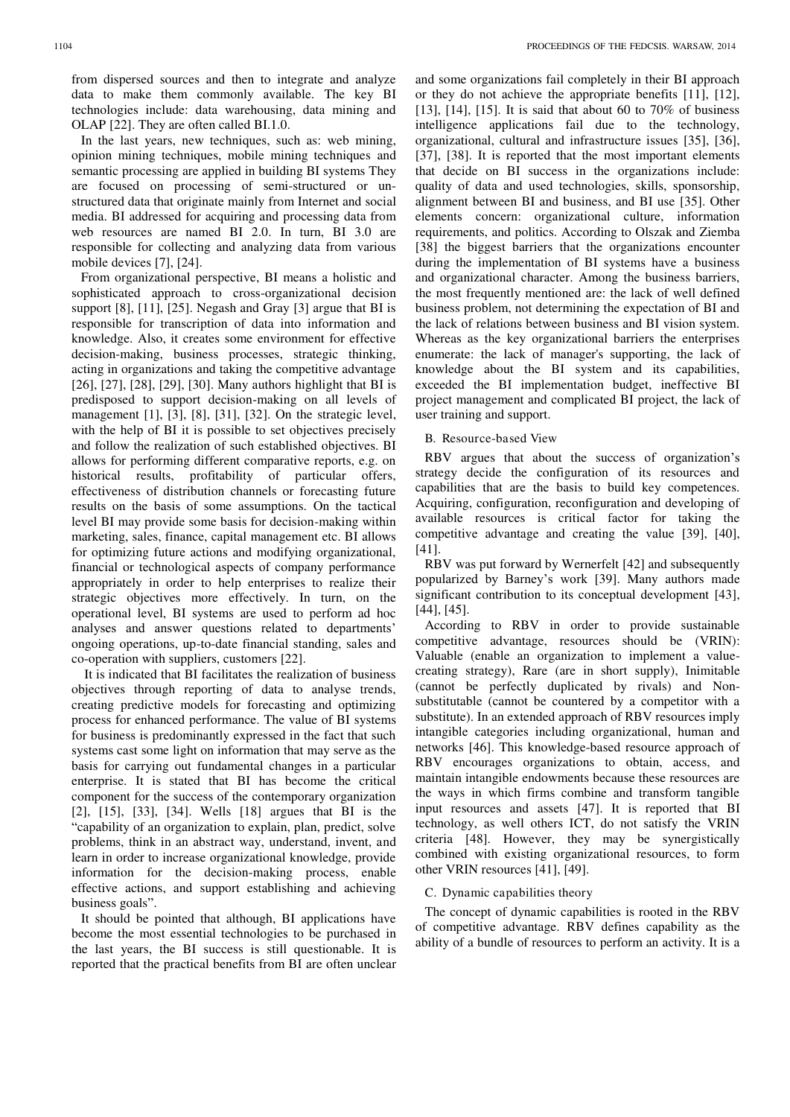from dispersed sources and then to integrate and analyze data to make them commonly available. The key BI technologies include: data warehousing, data mining and OLAP [22]. They are often called BI.1.0.

In the last years, new techniques, such as: web mining, opinion mining techniques, mobile mining techniques and semantic processing are applied in building BI systems They are focused on processing of semi-structured or unstructured data that originate mainly from Internet and social media. BI addressed for acquiring and processing data from web resources are named BI 2.0. In turn, BI 3.0 are responsible for collecting and analyzing data from various mobile devices [7], [24].

From organizational perspective, BI means a holistic and sophisticated approach to cross-organizational decision support [8], [11], [25]. Negash and Gray [3] argue that BI is responsible for transcription of data into information and knowledge. Also, it creates some environment for effective decision-making, business processes, strategic thinking, acting in organizations and taking the competitive advantage [26], [27], [28], [29], [30]. Many authors highlight that BI is predisposed to support decision-making on all levels of management [1], [3], [8], [31], [32]. On the strategic level, with the help of BI it is possible to set objectives precisely and follow the realization of such established objectives. BI allows for performing different comparative reports, e.g. on historical results, profitability of particular offers, effectiveness of distribution channels or forecasting future results on the basis of some assumptions. On the tactical level BI may provide some basis for decision-making within marketing, sales, finance, capital management etc. BI allows for optimizing future actions and modifying organizational, financial or technological aspects of company performance appropriately in order to help enterprises to realize their strategic objectives more effectively. In turn, on the operational level, BI systems are used to perform ad hoc analyses and answer questions related to departments' ongoing operations, up-to-date financial standing, sales and co-operation with suppliers, customers [22].

 It is indicated that BI facilitates the realization of business objectives through reporting of data to analyse trends, creating predictive models for forecasting and optimizing process for enhanced performance. The value of BI systems for business is predominantly expressed in the fact that such systems cast some light on information that may serve as the basis for carrying out fundamental changes in a particular enterprise. It is stated that BI has become the critical component for the success of the contemporary organization [2], [15], [33], [34]. Wells [18] argues that BI is the "capability of an organization to explain, plan, predict, solve problems, think in an abstract way, understand, invent, and learn in order to increase organizational knowledge, provide information for the decision-making process, enable effective actions, and support establishing and achieving business goals".

It should be pointed that although, BI applications have become the most essential technologies to be purchased in the last years, the BI success is still questionable. It is reported that the practical benefits from BI are often unclear

and some organizations fail completely in their BI approach or they do not achieve the appropriate benefits [11], [12], [13], [14], [15]. It is said that about 60 to  $70\%$  of business intelligence applications fail due to the technology, organizational, cultural and infrastructure issues [35], [36], [37], [38]. It is reported that the most important elements that decide on BI success in the organizations include: quality of data and used technologies, skills, sponsorship, alignment between BI and business, and BI use [35]. Other elements concern: organizational culture, information requirements, and politics. According to Olszak and Ziemba [38] the biggest barriers that the organizations encounter during the implementation of BI systems have a business and organizational character. Among the business barriers, the most frequently mentioned are: the lack of well defined business problem, not determining the expectation of BI and the lack of relations between business and BI vision system. Whereas as the key organizational barriers the enterprises enumerate: the lack of manager's supporting, the lack of knowledge about the BI system and its capabilities, exceeded the BI implementation budget, ineffective BI project management and complicated BI project, the lack of user training and support.

B. Resource-based View

RBV argues that about the success of organization's strategy decide the configuration of its resources and capabilities that are the basis to build key competences. Acquiring, configuration, reconfiguration and developing of available resources is critical factor for taking the competitive advantage and creating the value [39], [40], [41].

RBV was put forward by Wernerfelt [42] and subsequently popularized by Barney's work [39]. Many authors made significant contribution to its conceptual development [43], [44], [45].

According to RBV in order to provide sustainable competitive advantage, resources should be (VRIN): Valuable (enable an organization to implement a valuecreating strategy), Rare (are in short supply), Inimitable (cannot be perfectly duplicated by rivals) and Nonsubstitutable (cannot be countered by a competitor with a substitute). In an extended approach of RBV resources imply intangible categories including organizational, human and networks [46]. This knowledge-based resource approach of RBV encourages organizations to obtain, access, and maintain intangible endowments because these resources are the ways in which firms combine and transform tangible input resources and assets [47]. It is reported that BI technology, as well others ICT, do not satisfy the VRIN criteria [48]. However, they may be synergistically combined with existing organizational resources, to form other VRIN resources [41], [49].

## C. Dynamic capabilities theory

The concept of dynamic capabilities is rooted in the RBV of competitive advantage. RBV defines capability as the ability of a bundle of resources to perform an activity. It is a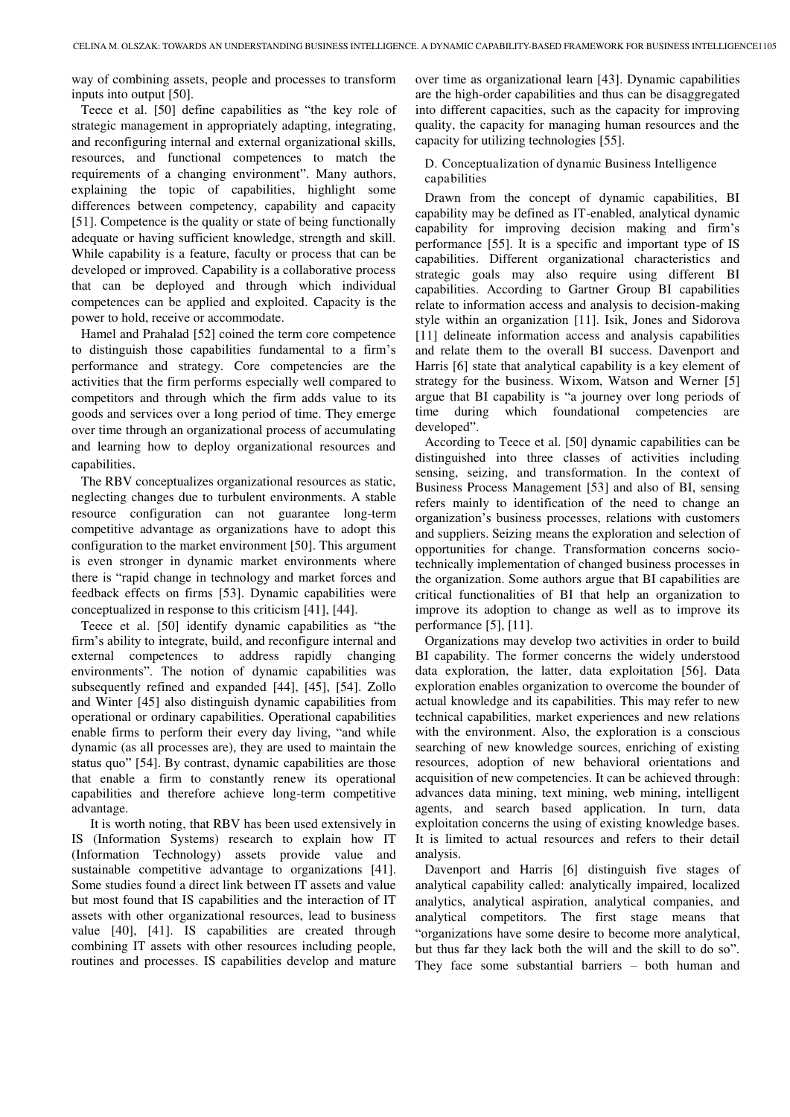way of combining assets, people and processes to transform inputs into output [50].

Teece et al. [50] define capabilities as "the key role of strategic management in appropriately adapting, integrating, and reconfiguring internal and external organizational skills, resources, and functional competences to match the requirements of a changing environment". Many authors, explaining the topic of capabilities, highlight some differences between competency, capability and capacity [51]. Competence is the quality or state of being functionally adequate or having sufficient knowledge, strength and skill. While capability is a feature, faculty or process that can be developed or improved. Capability is a collaborative process that can be deployed and through which individual competences can be applied and exploited. Capacity is the power to hold, receive or accommodate.

Hamel and Prahalad [52] coined the term core competence to distinguish those capabilities fundamental to a firm's performance and strategy. Core competencies are the activities that the firm performs especially well compared to competitors and through which the firm adds value to its goods and services over a long period of time. They emerge over time through an organizational process of accumulating and learning how to deploy organizational resources and capabilities.

The RBV conceptualizes organizational resources as static, neglecting changes due to turbulent environments. A stable resource configuration can not guarantee long-term competitive advantage as organizations have to adopt this configuration to the market environment [50]. This argument is even stronger in dynamic market environments where there is "rapid change in technology and market forces and feedback effects on firms [53]. Dynamic capabilities were conceptualized in response to this criticism [41], [44].

Teece et al. [50] identify dynamic capabilities as "the firm's ability to integrate, build, and reconfigure internal and external competences to address rapidly changing environments". The notion of dynamic capabilities was subsequently refined and expanded [44], [45], [54]. Zollo and Winter [45] also distinguish dynamic capabilities from operational or ordinary capabilities. Operational capabilities enable firms to perform their every day living, "and while dynamic (as all processes are), they are used to maintain the status quo" [54]. By contrast, dynamic capabilities are those that enable a firm to constantly renew its operational capabilities and therefore achieve long-term competitive advantage.

It is worth noting, that RBV has been used extensively in IS (Information Systems) research to explain how IT (Information Technology) assets provide value and sustainable competitive advantage to organizations [41]. Some studies found a direct link between IT assets and value but most found that IS capabilities and the interaction of IT assets with other organizational resources, lead to business value [40], [41]. IS capabilities are created through combining IT assets with other resources including people, routines and processes. IS capabilities develop and mature over time as organizational learn [43]. Dynamic capabilities are the high-order capabilities and thus can be disaggregated into different capacities, such as the capacity for improving quality, the capacity for managing human resources and the capacity for utilizing technologies [55].

D. Conceptualization of dynamic Business Intelligence capabilities

Drawn from the concept of dynamic capabilities, BI capability may be defined as IT-enabled, analytical dynamic capability for improving decision making and firm's performance [55]. It is a specific and important type of IS capabilities. Different organizational characteristics and strategic goals may also require using different BI capabilities. According to Gartner Group BI capabilities relate to information access and analysis to decision-making style within an organization [11]. Isik, Jones and Sidorova [11] delineate information access and analysis capabilities and relate them to the overall BI success. Davenport and Harris [6] state that analytical capability is a key element of strategy for the business. Wixom, Watson and Werner [5] argue that BI capability is "a journey over long periods of time during which foundational competencies are developed".

According to Teece et al. [50] dynamic capabilities can be distinguished into three classes of activities including sensing, seizing, and transformation. In the context of Business Process Management [53] and also of BI, sensing refers mainly to identification of the need to change an organization's business processes, relations with customers and suppliers. Seizing means the exploration and selection of opportunities for change. Transformation concerns sociotechnically implementation of changed business processes in the organization. Some authors argue that BI capabilities are critical functionalities of BI that help an organization to improve its adoption to change as well as to improve its performance [5], [11].

Organizations may develop two activities in order to build BI capability. The former concerns the widely understood data exploration, the latter, data exploitation [56]. Data exploration enables organization to overcome the bounder of actual knowledge and its capabilities. This may refer to new technical capabilities, market experiences and new relations with the environment. Also, the exploration is a conscious searching of new knowledge sources, enriching of existing resources, adoption of new behavioral orientations and acquisition of new competencies. It can be achieved through: advances data mining, text mining, web mining, intelligent agents, and search based application. In turn, data exploitation concerns the using of existing knowledge bases. It is limited to actual resources and refers to their detail analysis.

Davenport and Harris [6] distinguish five stages of analytical capability called: analytically impaired, localized analytics, analytical aspiration, analytical companies, and analytical competitors. The first stage means that "organizations have some desire to become more analytical, but thus far they lack both the will and the skill to do so". They face some substantial barriers – both human and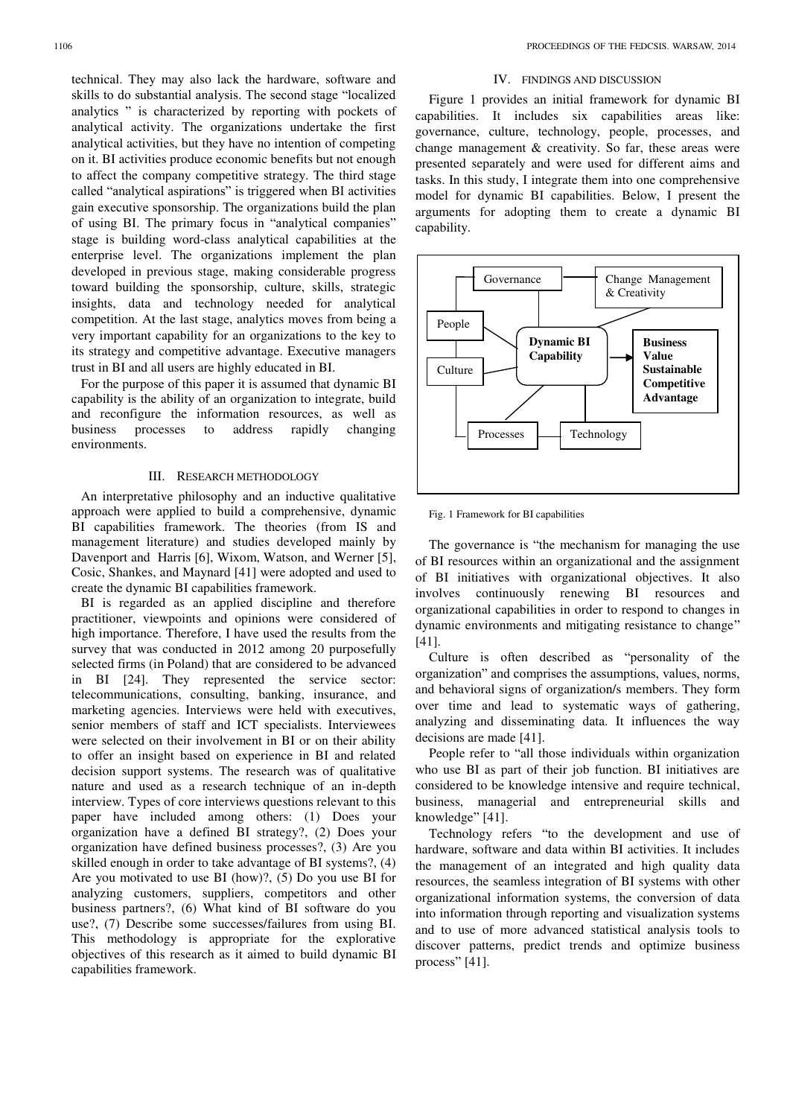technical. They may also lack the hardware, software and skills to do substantial analysis. The second stage "localized analytics " is characterized by reporting with pockets of analytical activity. The organizations undertake the first analytical activities, but they have no intention of competing on it. BI activities produce economic benefits but not enough to affect the company competitive strategy. The third stage called "analytical aspirations" is triggered when BI activities gain executive sponsorship. The organizations build the plan of using BI. The primary focus in "analytical companies" stage is building word-class analytical capabilities at the enterprise level. The organizations implement the plan developed in previous stage, making considerable progress toward building the sponsorship, culture, skills, strategic insights, data and technology needed for analytical competition. At the last stage, analytics moves from being a very important capability for an organizations to the key to its strategy and competitive advantage. Executive managers trust in BI and all users are highly educated in BI.

For the purpose of this paper it is assumed that dynamic BI capability is the ability of an organization to integrate, build and reconfigure the information resources, as well as business processes to address rapidly changing environments.

## III. RESEARCH METHODOLOGY

An interpretative philosophy and an inductive qualitative approach were applied to build a comprehensive, dynamic BI capabilities framework. The theories (from IS and management literature) and studies developed mainly by Davenport and Harris [6], Wixom, Watson, and Werner [5], Cosic, Shankes, and Maynard [41] were adopted and used to create the dynamic BI capabilities framework.

BI is regarded as an applied discipline and therefore practitioner, viewpoints and opinions were considered of high importance. Therefore, I have used the results from the survey that was conducted in 2012 among 20 purposefully selected firms (in Poland) that are considered to be advanced in BI [24]. They represented the service sector: telecommunications, consulting, banking, insurance, and marketing agencies. Interviews were held with executives, senior members of staff and ICT specialists. Interviewees were selected on their involvement in BI or on their ability to offer an insight based on experience in BI and related decision support systems. The research was of qualitative nature and used as a research technique of an in-depth interview. Types of core interviews questions relevant to this paper have included among others: (1) Does your organization have a defined BI strategy?, (2) Does your organization have defined business processes?, (3) Are you skilled enough in order to take advantage of BI systems?, (4) Are you motivated to use BI (how)?, (5) Do you use BI for analyzing customers, suppliers, competitors and other business partners?, (6) What kind of BI software do you use?, (7) Describe some successes/failures from using BI. This methodology is appropriate for the explorative objectives of this research as it aimed to build dynamic BI capabilities framework.

## IV. FINDINGS AND DISCUSSION

Figure 1 provides an initial framework for dynamic BI capabilities. It includes six capabilities areas like: governance, culture, technology, people, processes, and change management & creativity. So far, these areas were presented separately and were used for different aims and tasks. In this study, I integrate them into one comprehensive model for dynamic BI capabilities. Below, I present the arguments for adopting them to create a dynamic BI capability.



Fig. 1 Framework for BI capabilities

The governance is "the mechanism for managing the use of BI resources within an organizational and the assignment of BI initiatives with organizational objectives. It also involves continuously renewing BI resources and organizational capabilities in order to respond to changes in dynamic environments and mitigating resistance to change" [41].

Culture is often described as "personality of the organization" and comprises the assumptions, values, norms, and behavioral signs of organization/s members. They form over time and lead to systematic ways of gathering, analyzing and disseminating data. It influences the way decisions are made [41].

People refer to "all those individuals within organization who use BI as part of their job function. BI initiatives are considered to be knowledge intensive and require technical, business, managerial and entrepreneurial skills and knowledge" [41].

Technology refers "to the development and use of hardware, software and data within BI activities. It includes the management of an integrated and high quality data resources, the seamless integration of BI systems with other organizational information systems, the conversion of data into information through reporting and visualization systems and to use of more advanced statistical analysis tools to discover patterns, predict trends and optimize business process" [41].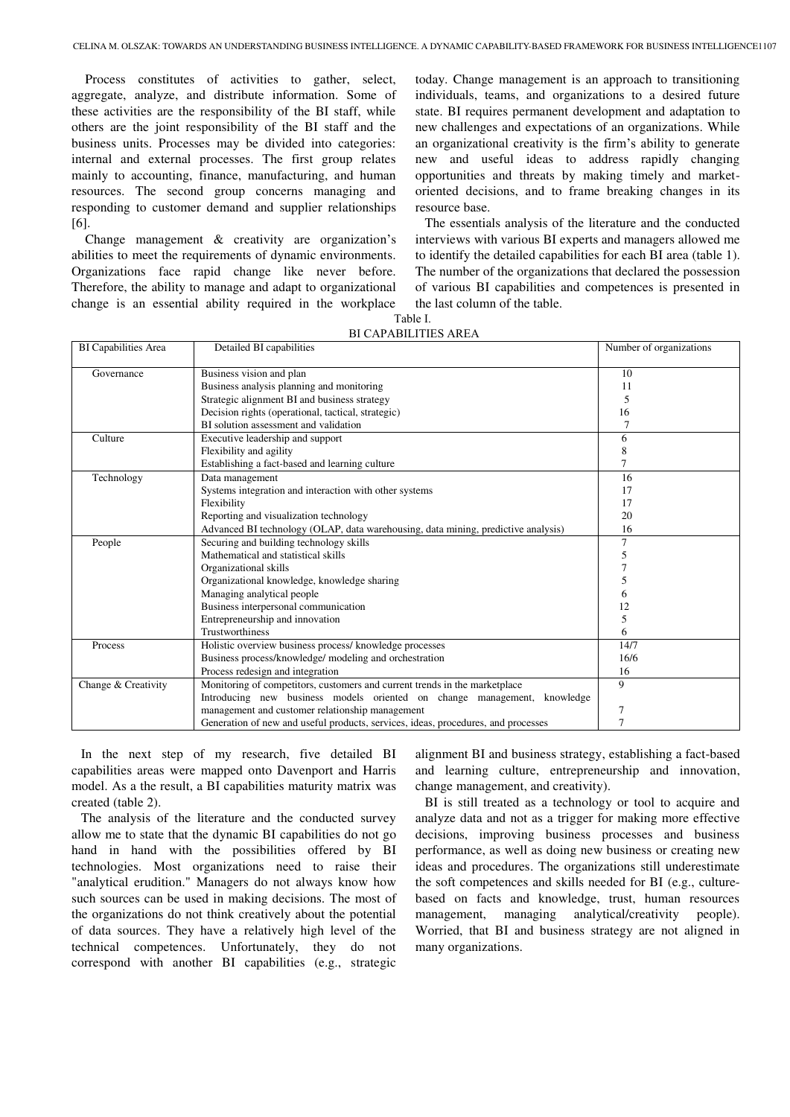Process constitutes of activities to gather, select, aggregate, analyze, and distribute information. Some of these activities are the responsibility of the BI staff, while others are the joint responsibility of the BI staff and the business units. Processes may be divided into categories: internal and external processes. The first group relates mainly to accounting, finance, manufacturing, and human resources. The second group concerns managing and responding to customer demand and supplier relationships [6].

Change management & creativity are organization's abilities to meet the requirements of dynamic environments. Organizations face rapid change like never before. Therefore, the ability to manage and adapt to organizational change is an essential ability required in the workplace

today. Change management is an approach to transitioning individuals, teams, and organizations to a desired future state. BI requires permanent development and adaptation to new challenges and expectations of an organizations. While an organizational creativity is the firm's ability to generate new and useful ideas to address rapidly changing opportunities and threats by making timely and marketoriented decisions, and to frame breaking changes in its resource base.

The essentials analysis of the literature and the conducted interviews with various BI experts and managers allowed me to identify the detailed capabilities for each BI area (table 1). The number of the organizations that declared the possession of various BI capabilities and competences is presented in the last column of the table.

| <b>BI</b> Capabilities Area | Detailed BI capabilities                                                          | Number of organizations |
|-----------------------------|-----------------------------------------------------------------------------------|-------------------------|
|                             |                                                                                   |                         |
| Governance                  | Business vision and plan                                                          | 10                      |
|                             | Business analysis planning and monitoring                                         | 11                      |
|                             | Strategic alignment BI and business strategy                                      | 5                       |
|                             | Decision rights (operational, tactical, strategic)                                | 16                      |
|                             | BI solution assessment and validation                                             | 7                       |
| Culture                     | Executive leadership and support                                                  | 6                       |
|                             | Flexibility and agility                                                           | 8                       |
|                             | Establishing a fact-based and learning culture                                    | 7                       |
| Technology                  | Data management                                                                   | 16                      |
|                             | Systems integration and interaction with other systems                            | 17                      |
|                             | Flexibility                                                                       | 17                      |
|                             | Reporting and visualization technology                                            | 20                      |
|                             | Advanced BI technology (OLAP, data warehousing, data mining, predictive analysis) | 16                      |
| People                      | Securing and building technology skills                                           | 7                       |
|                             | Mathematical and statistical skills                                               | 5                       |
|                             | Organizational skills                                                             |                         |
|                             | Organizational knowledge, knowledge sharing                                       | 5                       |
|                             | Managing analytical people                                                        | 6                       |
|                             | Business interpersonal communication                                              | 12                      |
|                             | Entrepreneurship and innovation                                                   | 5                       |
|                             | Trustworthiness                                                                   | 6                       |
| Process                     | Holistic overview business process/ knowledge processes                           | 14/7                    |
|                             | Business process/knowledge/ modeling and orchestration                            | 16/6                    |
|                             | Process redesign and integration                                                  | 16                      |
| Change & Creativity         | Monitoring of competitors, customers and current trends in the marketplace        | 9                       |
|                             | Introducing new business models oriented on change management,<br>knowledge       |                         |
|                             | management and customer relationship management                                   | 7                       |
|                             | Generation of new and useful products, services, ideas, procedures, and processes | $\overline{7}$          |

Table I. BI CAPABILITIES AREA

In the next step of my research, five detailed BI capabilities areas were mapped onto Davenport and Harris model. As a the result, a BI capabilities maturity matrix was created (table 2).

The analysis of the literature and the conducted survey allow me to state that the dynamic BI capabilities do not go hand in hand with the possibilities offered by BI technologies. Most organizations need to raise their "analytical erudition." Managers do not always know how such sources can be used in making decisions. The most of the organizations do not think creatively about the potential of data sources. They have a relatively high level of the technical competences. Unfortunately, they do not correspond with another BI capabilities (e.g., strategic

alignment BI and business strategy, establishing a fact-based and learning culture, entrepreneurship and innovation, change management, and creativity).

BI is still treated as a technology or tool to acquire and analyze data and not as a trigger for making more effective decisions, improving business processes and business performance, as well as doing new business or creating new ideas and procedures. The organizations still underestimate the soft competences and skills needed for BI (e.g., culturebased on facts and knowledge, trust, human resources management, managing analytical/creativity people). Worried, that BI and business strategy are not aligned in many organizations.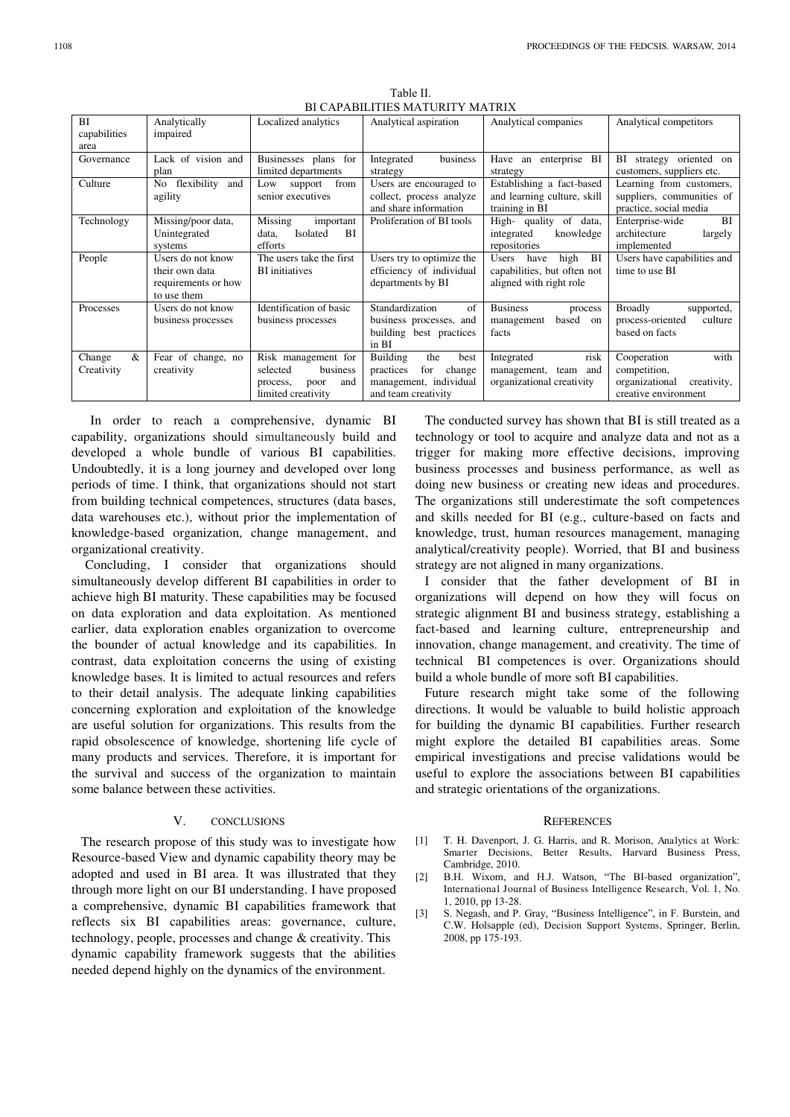| <b>BI</b><br>capabilities<br>area | Analytically<br>impaired                                                  | Localized analytics                                                                          | Analytical aspiration                                                                                  | Analytical companies                                                                  | Analytical competitors                                                                       |
|-----------------------------------|---------------------------------------------------------------------------|----------------------------------------------------------------------------------------------|--------------------------------------------------------------------------------------------------------|---------------------------------------------------------------------------------------|----------------------------------------------------------------------------------------------|
| Governance                        | Lack of vision and<br>plan                                                | Businesses plans<br>for<br>limited departments                                               | business<br>Integrated<br>strategy                                                                     | enterprise BI<br>Have an<br>strategy                                                  | BI<br>oriented on<br>strategy<br>customers, suppliers etc.                                   |
| Culture                           | flexibility<br>No<br>and<br>agility                                       | from<br>support<br>Low<br>senior executives                                                  | Users are encouraged to<br>collect, process analyze<br>and share information                           | Establishing a fact-based<br>and learning culture, skill<br>training in BI            | Learning from customers,<br>suppliers, communities of<br>practice, social media              |
| Technology                        | Missing/poor data,<br>Unintegrated<br>systems                             | Missing<br>important<br><b>BI</b><br>Isolated<br>data,<br>efforts                            | Proliferation of BI tools                                                                              | of<br>High- quality<br>data,<br>knowledge<br>integrated<br>repositories               | Enterprise-wide<br><b>BI</b><br>architecture<br>largely<br>implemented                       |
| People                            | Users do not know<br>their own data<br>requirements or how<br>to use them | The users take the first<br><b>BI</b> initiatives                                            | Users try to optimize the<br>efficiency of individual<br>departments by BI                             | high<br>BI<br>Users<br>have<br>capabilities, but often not<br>aligned with right role | Users have capabilities and<br>time to use BI                                                |
| Processes                         | Users do not know<br>business processes                                   | Identification of basic<br>business processes                                                | Standardization<br>of<br>business processes, and<br>building best practices<br>in BI                   | <b>Business</b><br>process<br>based<br>management<br>on<br>facts                      | <b>Broadly</b><br>supported,<br>culture<br>process-oriented<br>based on facts                |
| &<br>Change<br>Creativity         | Fear of change, no<br>creativity                                          | Risk management for<br>business<br>selected<br>and<br>poor<br>process,<br>limited creativity | Building<br>the<br>best<br>for<br>change<br>practices<br>management, individual<br>and team creativity | risk<br>Integrated<br>and<br>management,<br>team<br>organizational creativity         | with<br>Cooperation<br>competition,<br>organizational<br>creativity,<br>creative environment |

Table II. BI CAPABILITIES MATURITY MATRIX

In order to reach a comprehensive, dynamic BI capability, organizations should simultaneously build and developed a whole bundle of various BI capabilities. Undoubtedly, it is a long journey and developed over long periods of time. I think, that organizations should not start from building technical competences, structures (data bases, data warehouses etc.), without prior the implementation of knowledge-based organization, change management, and organizational creativity.

Concluding, I consider that organizations should simultaneously develop different BI capabilities in order to achieve high BI maturity. These capabilities may be focused on data exploration and data exploitation. As mentioned earlier, data exploration enables organization to overcome the bounder of actual knowledge and its capabilities. In contrast, data exploitation concerns the using of existing knowledge bases. It is limited to actual resources and refers to their detail analysis. The adequate linking capabilities concerning exploration and exploitation of the knowledge are useful solution for organizations. This results from the rapid obsolescence of knowledge, shortening life cycle of many products and services. Therefore, it is important for the survival and success of the organization to maintain some balance between these activities.

#### V. CONCLUSIONS

The research propose of this study was to investigate how Resource-based View and dynamic capability theory may be adopted and used in BI area. It was illustrated that they through more light on our BI understanding. I have proposed a comprehensive, dynamic BI capabilities framework that reflects six BI capabilities areas: governance, culture, technology, people, processes and change & creativity. This dynamic capability framework suggests that the abilities needed depend highly on the dynamics of the environment.

The conducted survey has shown that BI is still treated as a technology or tool to acquire and analyze data and not as a trigger for making more effective decisions, improving business processes and business performance, as well as doing new business or creating new ideas and procedures. The organizations still underestimate the soft competences and skills needed for BI (e.g., culture-based on facts and knowledge, trust, human resources management, managing analytical/creativity people). Worried, that BI and business strategy are not aligned in many organizations.

I consider that the father development of BI in organizations will depend on how they will focus on strategic alignment BI and business strategy, establishing a fact-based and learning culture, entrepreneurship and innovation, change management, and creativity. The time of technical BI competences is over. Organizations should build a whole bundle of more soft BI capabilities.

Future research might take some of the following directions. It would be valuable to build holistic approach for building the dynamic BI capabilities. Further research might explore the detailed BI capabilities areas. Some empirical investigations and precise validations would be useful to explore the associations between BI capabilities and strategic orientations of the organizations.

#### **REFERENCES**

- [1] T. H. Davenport, J. G. Harris, and R. Morison, Analytics at Work: Smarter Decisions, Better Results, Harvard Business Press, Cambridge, 2010.
- [2] B.H. Wixom, and H.J. Watson, "The BI-based organization", International Journal of Business Intelligence Research, Vol. 1, No. 1, 2010, pp 13-28.
- [3] S. Negash, and P. Gray, "Business Intelligence", in F. Burstein, and C.W. Holsapple (ed), Decision Support Systems, Springer, Berlin, 2008, pp 175-193.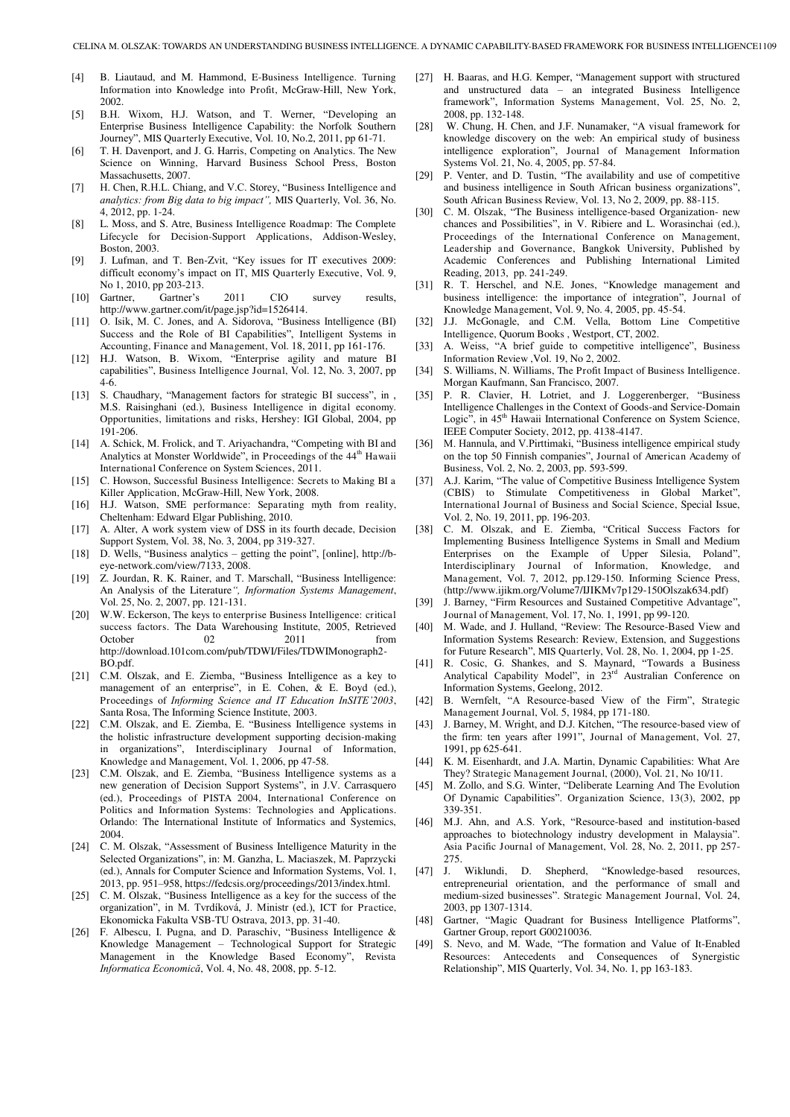- [4] B. Liautaud, and M. Hammond, E-Business Intelligence. Turning Information into Knowledge into Profit, McGraw-Hill, New York, 2002.
- [5] B.H. Wixom, H.J. Watson, and T. Werner, "Developing an Enterprise Business Intelligence Capability: the Norfolk Southern Journey", MIS Quarterly Executive, Vol. 10, No.2, 2011, pp 61-71.
- [6] T. H. Davenport, and J. G. Harris, Competing on Analytics. The New Science on Winning, Harvard Business School Press, Boston Massachusetts, 2007.
- [7] H. Chen, R.H.L. Chiang, and V.C. Storey, "Business Intelligence and *analytics: from Big data to big impact",* MIS Quarterly, Vol. 36, No. 4, 2012, pp. 1-24.
- [8] L. Moss, and S. Atre, Business Intelligence Roadmap: The Complete Lifecycle for Decision-Support Applications, Addison-Wesley, Boston, 2003.
- [9] J. Lufman, and T. Ben-Zvit, "Key issues for IT executives 2009: difficult economy's impact on IT, MIS Quarterly Executive, Vol. 9, No 1, 2010, pp 203-213.<br>Gartner, Gartner's
- [10] Gartner, Gartner's 2011 CIO survey results, http://www.gartner.com/it/page.jsp?id=1526414.
- [11] O. Isik, M. C. Jones, and A. Sidorova, "Business Intelligence (BI) Success and the Role of BI Capabilities", Intelligent Systems in Accounting, Finance and Management, Vol. 18, 2011, pp 161-176.
- [12] H.J. Watson, B. Wixom, "Enterprise agility and mature BI capabilities", Business Intelligence Journal, Vol. 12, No. 3, 2007, pp 4-6.
- [13] S. Chaudhary, "Management factors for strategic BI success", in , M.S. Raisinghani (ed.), Business Intelligence in digital economy. Opportunities, limitations and risks, Hershey: IGI Global, 2004, pp 191-206.
- [14] A. Schick, M. Frolick, and T. Ariyachandra, "Competing with BI and Analytics at Monster Worldwide", in Proceedings of the 44<sup>th</sup> Hawaii International Conference on System Sciences, 2011.
- [15] C. Howson, Successful Business Intelligence: Secrets to Making BI a Killer Application, McGraw-Hill, New York, 2008.
- [16] H.J. Watson, SME performance: Separating myth from reality, Cheltenham: Edward Elgar Publishing, 2010.
- [17] A. Alter, A work system view of DSS in its fourth decade, Decision Support System, Vol. 38, No. 3, 2004, pp 319-327.
- [18] D. Wells, "Business analytics getting the point", [online], http://beye-network.com/view/7133, 2008.
- [19] Z. Jourdan, R. K. Rainer, and T. Marschall, "Business Intelligence: An Analysis of the Literature*", Information Systems Management*, Vol. 25, No. 2, 2007, pp. 121-131.
- [20] W.W. Eckerson, The keys to enterprise Business Intelligence: critical success factors. The Data Warehousing Institute, 2005, Retrieved October 02 2011 from http://download.101com.com/pub/TDWI/Files/TDWIMonograph2- BO.pdf.
- [21] C.M. Olszak, and E. Ziemba, "Business Intelligence as a key to management of an enterprise", in E. Cohen, & E. Boyd (ed.), Proceedings of *Informing Science and IT Education InSITE'2003*, Santa Rosa, The Informing Science Institute, 2003.
- [22] C.M. Olszak, and E. Ziemba, E. "Business Intelligence systems in the holistic infrastructure development supporting decision-making in organizations", Interdisciplinary Journal of Information, Knowledge and Management, Vol. 1, 2006, pp 47-58.
- [23] C.M. Olszak, and E. Ziemba, "Business Intelligence systems as a new generation of Decision Support Systems", in J.V. Carrasquero (ed.), Proceedings of PISTA 2004, International Conference on Politics and Information Systems: Technologies and Applications. Orlando: The International Institute of Informatics and Systemics, 2004.
- [24] C. M. Olszak, "Assessment of Business Intelligence Maturity in the Selected Organizations", in: M. Ganzha, L. Maciaszek, M. Paprzycki (ed.), Annals for Computer Science and Information Systems, Vol. 1, 2013, pp. 951–958, https://fedcsis.org/proceedings/2013/index.html.
- [25] C. M. Olszak, "Business Intelligence as a key for the success of the organization", in M. Tvrdíková, J. Ministr (ed.), ICT for Practice, Ekonomicka Fakulta VSB-TU Ostrava, 2013, pp. 31-40.
- [26] F. Albescu, I. Pugna, and D. Paraschiv, "Business Intelligence & Knowledge Management – Technological Support for Strategic Management in the Knowledge Based Economy", Revista *Informatica Economică*, Vol. 4, No. 48, 2008, pp. 5-12.
- [27] H. Baaras, and H.G. Kemper, "Management support with structured and unstructured data – an integrated Business Intelligence framework", Information Systems Management, Vol. 25, No. 2, 2008, pp. 132-148.
- [28] W. Chung, H. Chen, and J.F. Nunamaker, "A visual framework for knowledge discovery on the web: An empirical study of business intelligence exploration", Journal of Management Information Systems Vol. 21, No. 4, 2005, pp. 57-84.
- [29] P. Venter, and D. Tustin, "The availability and use of competitive and business intelligence in South African business organizations", South African Business Review, Vol. 13, No 2, 2009, pp. 88-115.
- [30] C. M. Olszak, "The Business intelligence-based Organization- new chances and Possibilities", in V. Ribiere and L. Worasinchai (ed.), Proceedings of the International Conference on Management, Leadership and Governance, Bangkok University, Published by Academic Conferences and Publishing International Limited Reading, 2013, pp. 241-249.
- [31] R. T. Herschel, and N.E. Jones, "Knowledge management and business intelligence: the importance of integration", Journal of Knowledge Management, Vol. 9, No. 4, 2005, pp. 45-54.
- [32] J.J. McGonagle, and C.M. Vella, Bottom Line Competitive Intelligence, Quorum Books , Westport, CT, 2002.
- [33] A. Weiss, "A brief guide to competitive intelligence", Business Information Review ,Vol. 19, No 2, 2002.
- [34] S. Williams, N. Williams, The Profit Impact of Business Intelligence. Morgan Kaufmann, San Francisco, 2007.
- [35] P. R. Clavier, H. Lotriet, and J. Loggerenberger, "Business Intelligence Challenges in the Context of Goods-and Service-Domain Logic", in 45<sup>th</sup> Hawaii International Conference on System Science, IEEE Computer Society, 2012, pp. 4138-4147.
- [36] M. Hannula, and V. Pirttimaki, "Business intelligence empirical study on the top 50 Finnish companies", Journal of American Academy of Business, Vol. 2, No. 2, 2003, pp. 593-599.
- [37] A.J. Karim, "The value of Competitive Business Intelligence System (CBIS) to Stimulate Competitiveness in Global Market", International Journal of Business and Social Science, Special Issue, Vol. 2, No. 19, 2011, pp. 196-203.
- [38] C. M. Olszak, and E. Ziemba, "Critical Success Factors for Implementing Business Intelligence Systems in Small and Medium Enterprises on the Example of Upper Silesia, Poland", Interdisciplinary Journal of Information, Management, Vol. 7, 2012, pp.129-150. Informing Science Press, (http://www.ijikm.org/Volume7/IJIKMv7p129-150Olszak634.pdf)
- [39] J. Barney, "Firm Resources and Sustained Competitive Advantage", Journal of Management, Vol. 17, No. 1, 1991, pp 99-120.
- [40] M. Wade, and J. Hulland, "Review: The Resource-Based View and Information Systems Research: Review, Extension, and Suggestions for Future Research", MIS Quarterly, Vol. 28, No. 1, 2004, pp 1-25.
- [41] R. Cosic, G. Shankes, and S. Maynard, "Towards a Business Analytical Capability Model", in 23<sup>rd</sup> Australian Conference on Information Systems, Geelong, 2012.
- [42] B. Wernfelt, "A Resource-based View of the Firm", Strategic Management Journal, Vol. 5, 1984, pp 171-180.
- [43] J. Barney, M. Wright, and D.J. Kitchen, "The resource-based view of the firm: ten years after 1991", Journal of Management, Vol. 27, 1991, pp 625-641.
- [44] K. M. Eisenhardt, and J.A. Martin, Dynamic Capabilities: What Are They? Strategic Management Journal, (2000), Vol. 21, No 10/11.
- [45] M. Zollo, and S.G. Winter, "Deliberate Learning And The Evolution Of Dynamic Capabilities". Organization Science, 13(3), 2002, pp 339-351.
- [46] M.J. Ahn, and A.S. York, "Resource-based and institution-based approaches to biotechnology industry development in Malaysia". Asia Pacific Journal of Management, Vol. 28, No. 2, 2011, pp 257- 275.
- [47] J. Wiklundi, D. Shepherd, "Knowledge-based resources, entrepreneurial orientation, and the performance of small and medium-sized businesses". Strategic Management Journal, Vol. 24, 2003, pp 1307-1314.
- [48] Gartner, "Magic Quadrant for Business Intelligence Platforms", Gartner Group, report G00210036.
- [49] S. Nevo, and M. Wade, "The formation and Value of It-Enabled Resources: Antecedents and Consequences of Synergistic Relationship", MIS Quarterly, Vol. 34, No. 1, pp 163-183.